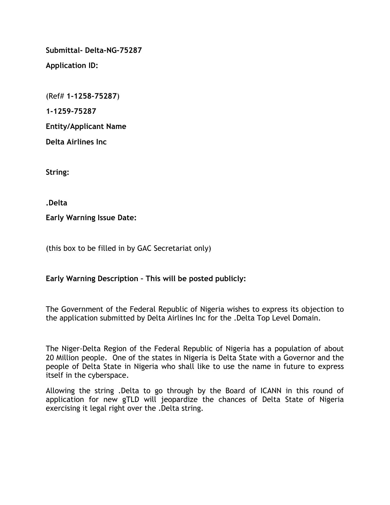**Submittal- Delta-NG-75287**

**Application ID:**

(Ref# **1-1258-75287**)

**1-1259-75287**

**Entity/Applicant Name**

**Delta Airlines Inc**

**String:** 

**.Delta**

**Early Warning Issue Date:** 

(this box to be filled in by GAC Secretariat only)

# **Early Warning Description – This will be posted publicly:**

The Government of the Federal Republic of Nigeria wishes to express its objection to the application submitted by Delta Airlines Inc for the .Delta Top Level Domain.

The Niger-Delta Region of the Federal Republic of Nigeria has a population of about 20 Million people. One of the states in Nigeria is Delta State with a Governor and the people of Delta State in Nigeria who shall like to use the name in future to express itself in the cyberspace.

Allowing the string .Delta to go through by the Board of ICANN in this round of application for new gTLD will jeopardize the chances of Delta State of Nigeria exercising it legal right over the .Delta string.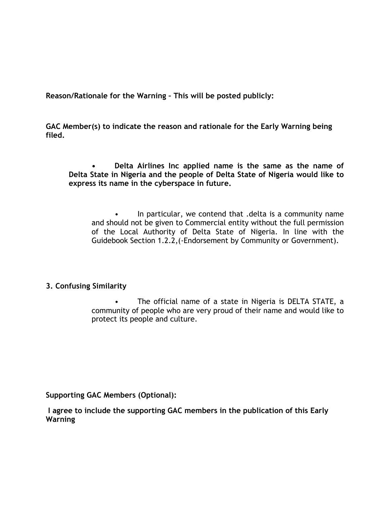**Reason/Rationale for the Warning – This will be posted publicly:** 

**GAC Member(s) to indicate the reason and rationale for the Early Warning being filed.** 

**• Delta Airlines Inc applied name is the same as the name of Delta State in Nigeria and the people of Delta State of Nigeria would like to express its name in the cyberspace in future.**

In particular, we contend that .delta is a community name and should not be given to Commercial entity without the full permission of the Local Authority of Delta State of Nigeria. In line with the Guidebook Section 1.2.2,(-Endorsement by Community or Government).

### **3. Confusing Similarity**

• The official name of a state in Nigeria is DELTA STATE, a community of people who are very proud of their name and would like to protect its people and culture.

**Supporting GAC Members (Optional):**

**I agree to include the supporting GAC members in the publication of this Early Warning**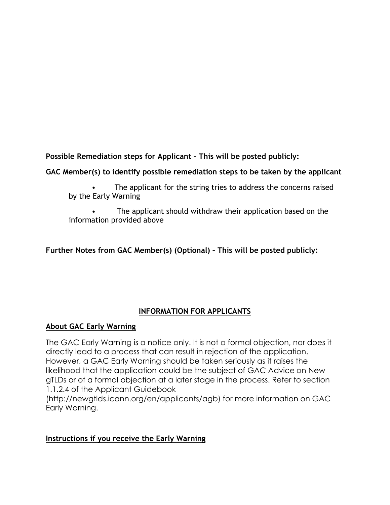**Possible Remediation steps for Applicant – This will be posted publicly:**

## **GAC Member(s) to identify possible remediation steps to be taken by the applicant**

The applicant for the string tries to address the concerns raised by the Early Warning

The applicant should withdraw their application based on the information provided above

# **Further Notes from GAC Member(s) (Optional) – This will be posted publicly:**

## **INFORMATION FOR APPLICANTS**

## **About GAC Early Warning**

The GAC Early Warning is a notice only. It is not a formal objection, nor does it directly lead to a process that can result in rejection of the application. However, a GAC Early Warning should be taken seriously as it raises the likelihood that the application could be the subject of GAC Advice on New gTLDs or of a formal objection at a later stage in the process. Refer to section 1.1.2.4 of the Applicant Guidebook

(http://newgtlds.icann.org/en/applicants/agb) for more information on GAC Early Warning.

## **Instructions if you receive the Early Warning**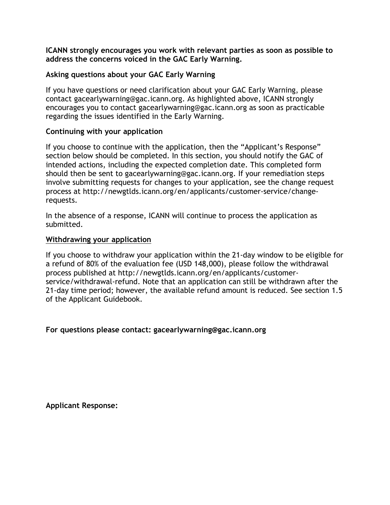**ICANN strongly encourages you work with relevant parties as soon as possible to address the concerns voiced in the GAC Early Warning.**

#### **Asking questions about your GAC Early Warning**

If you have questions or need clarification about your GAC Early Warning, please contact gacearlywarning@gac.icann.org. As highlighted above, ICANN strongly encourages you to contact gacearlywarning@gac.icann.org as soon as practicable regarding the issues identified in the Early Warning.

#### **Continuing with your application**

If you choose to continue with the application, then the "Applicant's Response" section below should be completed. In this section, you should notify the GAC of intended actions, including the expected completion date. This completed form should then be sent to gacearlywarning@gac.icann.org. If your remediation steps involve submitting requests for changes to your application, see the change request process at http://newgtlds.icann.org/en/applicants/customer-service/changerequests.

In the absence of a response, ICANN will continue to process the application as submitted.

#### **Withdrawing your application**

If you choose to withdraw your application within the 21-day window to be eligible for a refund of 80% of the evaluation fee (USD 148,000), please follow the withdrawal process published at http://newgtlds.icann.org/en/applicants/customerservice/withdrawal-refund. Note that an application can still be withdrawn after the 21-day time period; however, the available refund amount is reduced. See section 1.5 of the Applicant Guidebook.

### **For questions please contact: gacearlywarning@gac.icann.org**

**Applicant Response:**